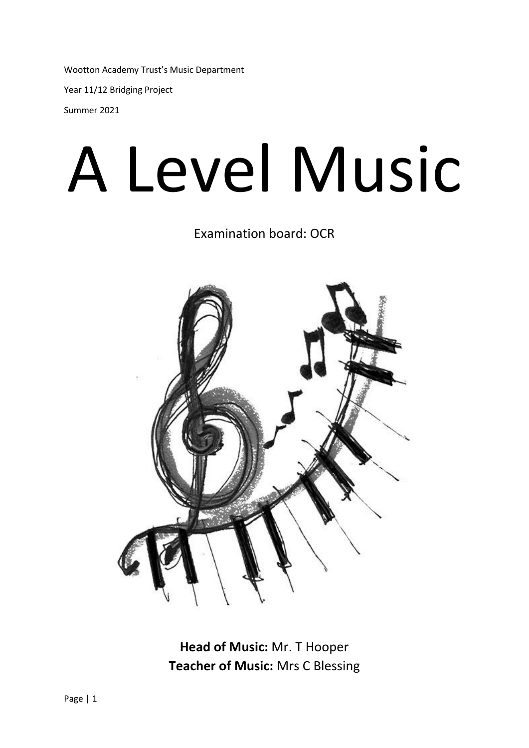Wootton Academy Trust's Music Department Year 11/12 Bridging Project Summer 2021

# A Level Music

Examination board: OCR



**Head of Music:** Mr. T Hooper **Teacher of Music:** Mrs C Blessing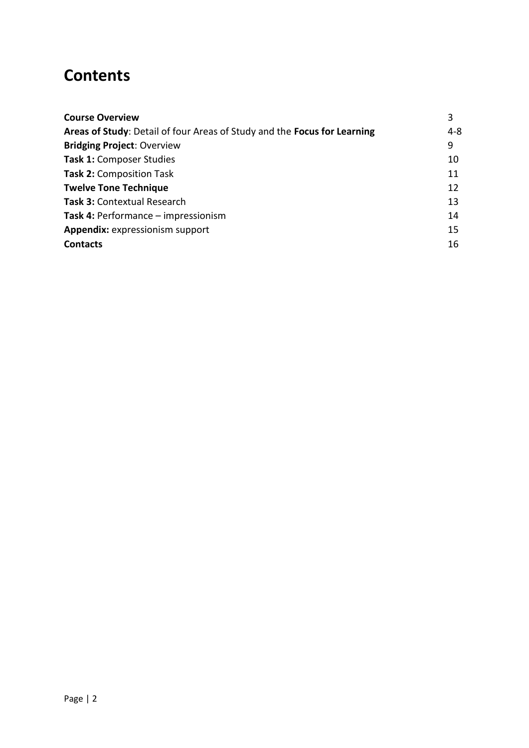## **Contents**

| <b>Course Overview</b>                                                   | 3       |
|--------------------------------------------------------------------------|---------|
| Areas of Study: Detail of four Areas of Study and the Focus for Learning | $4 - 8$ |
| <b>Bridging Project: Overview</b>                                        | 9       |
| Task 1: Composer Studies                                                 | 10      |
| <b>Task 2: Composition Task</b>                                          | 11      |
| <b>Twelve Tone Technique</b>                                             | 12      |
| Task 3: Contextual Research                                              | 13      |
| Task 4: Performance - impressionism                                      | 14      |
| Appendix: expressionism support                                          | 15      |
| <b>Contacts</b>                                                          | 16      |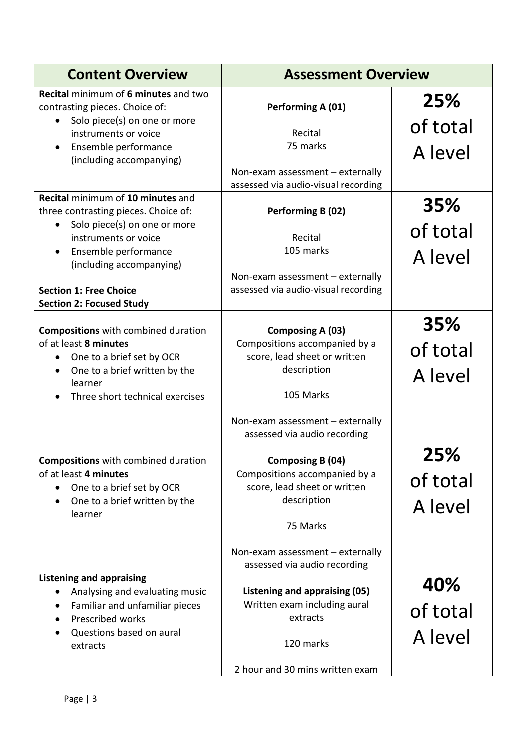| <b>Content Overview</b>                                                                                                                                   | <b>Assessment Overview</b>                                                                                                                                                       |                            |
|-----------------------------------------------------------------------------------------------------------------------------------------------------------|----------------------------------------------------------------------------------------------------------------------------------------------------------------------------------|----------------------------|
| Recital minimum of 6 minutes and two<br>contrasting pieces. Choice of:                                                                                    | Performing A (01)                                                                                                                                                                | 25%                        |
| Solo piece(s) on one or more<br>instruments or voice<br>Ensemble performance<br>(including accompanying)                                                  | Recital<br>75 marks                                                                                                                                                              | of total<br>A level        |
|                                                                                                                                                           | Non-exam assessment - externally<br>assessed via audio-visual recording                                                                                                          |                            |
| Recital minimum of 10 minutes and<br>three contrasting pieces. Choice of:<br>Solo piece(s) on one or more                                                 | Performing B (02)                                                                                                                                                                | 35%                        |
| instruments or voice                                                                                                                                      | Recital<br>105 marks                                                                                                                                                             | of total                   |
| Ensemble performance<br>(including accompanying)                                                                                                          |                                                                                                                                                                                  | A level                    |
| <b>Section 1: Free Choice</b><br><b>Section 2: Focused Study</b>                                                                                          | Non-exam assessment - externally<br>assessed via audio-visual recording                                                                                                          |                            |
| <b>Compositions</b> with combined duration<br>of at least 8 minutes<br>One to a brief set by OCR<br>$\bullet$<br>One to a brief written by the<br>learner | Composing A (03)<br>Compositions accompanied by a<br>score, lead sheet or written<br>description<br>105 Marks                                                                    | 35%<br>of total<br>A level |
| Three short technical exercises                                                                                                                           | Non-exam assessment - externally<br>assessed via audio recording                                                                                                                 |                            |
| <b>Compositions</b> with combined duration<br>of at least 4 minutes<br>One to a brief set by OCR<br>One to a brief written by the<br>learner              | Composing B (04)<br>Compositions accompanied by a<br>score, lead sheet or written<br>description<br>75 Marks<br>Non-exam assessment - externally<br>assessed via audio recording | 25%<br>of total<br>A level |
| <b>Listening and appraising</b><br>Analysing and evaluating music<br>$\bullet$                                                                            | Listening and appraising (05)                                                                                                                                                    | 40%                        |
| Familiar and unfamiliar pieces<br>Prescribed works<br>٠                                                                                                   | Written exam including aural<br>extracts                                                                                                                                         | of total                   |
| Questions based on aural<br>extracts                                                                                                                      | 120 marks                                                                                                                                                                        | A level                    |
|                                                                                                                                                           | 2 hour and 30 mins written exam                                                                                                                                                  |                            |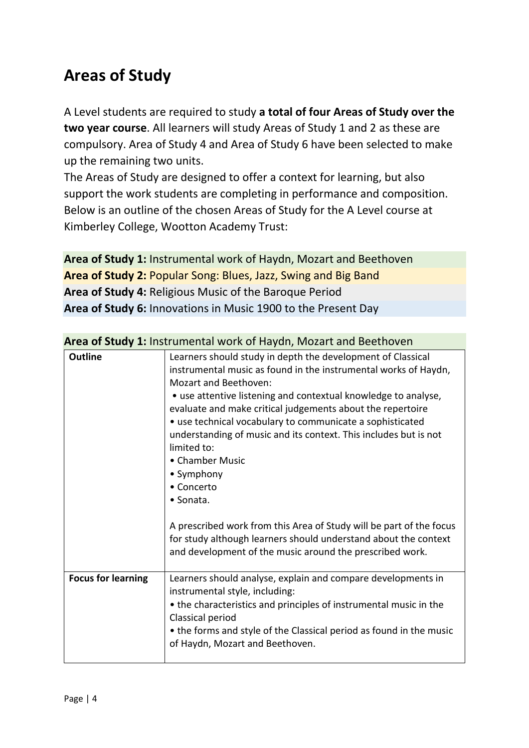# **Areas of Study**

A Level students are required to study **a total of four Areas of Study over the two year course**. All learners will study Areas of Study 1 and 2 as these are compulsory. Area of Study 4 and Area of Study 6 have been selected to make up the remaining two units.

The Areas of Study are designed to offer a context for learning, but also support the work students are completing in performance and composition. Below is an outline of the chosen Areas of Study for the A Level course at Kimberley College, Wootton Academy Trust:

**Area of Study 1:** Instrumental work of Haydn, Mozart and Beethoven **Area of Study 2:** Popular Song: Blues, Jazz, Swing and Big Band **Area of Study 4:** Religious Music of the Baroque Period **Area of Study 6:** Innovations in Music 1900 to the Present Day

| <b>Outline</b>            | Learners should study in depth the development of Classical<br>instrumental music as found in the instrumental works of Haydn,<br><b>Mozart and Beethoven:</b><br>• use attentive listening and contextual knowledge to analyse,<br>evaluate and make critical judgements about the repertoire<br>• use technical vocabulary to communicate a sophisticated<br>understanding of music and its context. This includes but is not<br>limited to:<br>• Chamber Music<br>• Symphony<br>• Concerto<br>• Sonata. |
|---------------------------|------------------------------------------------------------------------------------------------------------------------------------------------------------------------------------------------------------------------------------------------------------------------------------------------------------------------------------------------------------------------------------------------------------------------------------------------------------------------------------------------------------|
|                           | A prescribed work from this Area of Study will be part of the focus<br>for study although learners should understand about the context<br>and development of the music around the prescribed work.                                                                                                                                                                                                                                                                                                         |
| <b>Focus for learning</b> | Learners should analyse, explain and compare developments in<br>instrumental style, including:<br>• the characteristics and principles of instrumental music in the<br>Classical period<br>• the forms and style of the Classical period as found in the music<br>of Haydn, Mozart and Beethoven.                                                                                                                                                                                                          |
|                           |                                                                                                                                                                                                                                                                                                                                                                                                                                                                                                            |

#### **Area of Study 1:** Instrumental work of Haydn, Mozart and Beethoven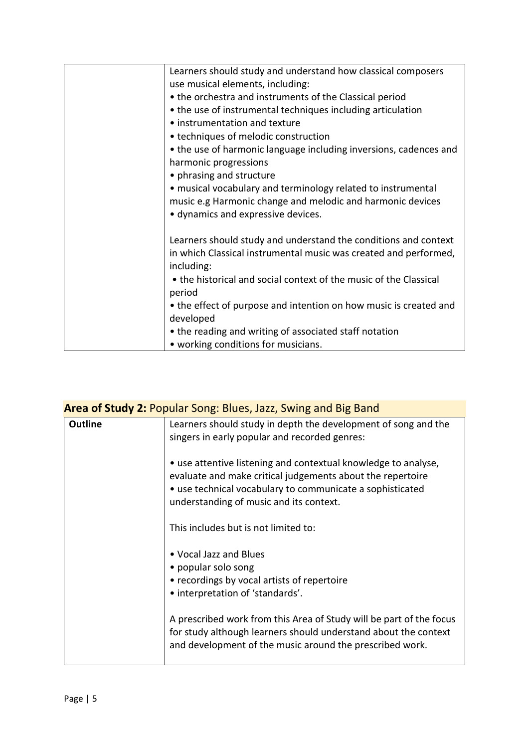| Learners should study and understand how classical composers      |
|-------------------------------------------------------------------|
| use musical elements, including:                                  |
| • the orchestra and instruments of the Classical period           |
| • the use of instrumental techniques including articulation       |
| • instrumentation and texture                                     |
| • techniques of melodic construction                              |
| • the use of harmonic language including inversions, cadences and |
| harmonic progressions                                             |
| • phrasing and structure                                          |
| • musical vocabulary and terminology related to instrumental      |
| music e.g Harmonic change and melodic and harmonic devices        |
| • dynamics and expressive devices.                                |
|                                                                   |
| Learners should study and understand the conditions and context   |
| in which Classical instrumental music was created and performed,  |
| including:                                                        |
| • the historical and social context of the music of the Classical |
| period                                                            |
| • the effect of purpose and intention on how music is created and |
| developed                                                         |
| • the reading and writing of associated staff notation            |
| • working conditions for musicians.                               |

| <b>Area of Study 2: Popular Song: Blues, Jazz, Swing and Big Band</b> |                                                                                                                                                                                                                                      |  |
|-----------------------------------------------------------------------|--------------------------------------------------------------------------------------------------------------------------------------------------------------------------------------------------------------------------------------|--|
| <b>Outline</b>                                                        | Learners should study in depth the development of song and the<br>singers in early popular and recorded genres:                                                                                                                      |  |
|                                                                       | • use attentive listening and contextual knowledge to analyse,<br>evaluate and make critical judgements about the repertoire<br>• use technical vocabulary to communicate a sophisticated<br>understanding of music and its context. |  |
|                                                                       | This includes but is not limited to:                                                                                                                                                                                                 |  |
|                                                                       | • Vocal Jazz and Blues<br>• popular solo song<br>• recordings by vocal artists of repertoire<br>• interpretation of 'standards'.                                                                                                     |  |
|                                                                       | A prescribed work from this Area of Study will be part of the focus<br>for study although learners should understand about the context<br>and development of the music around the prescribed work.                                   |  |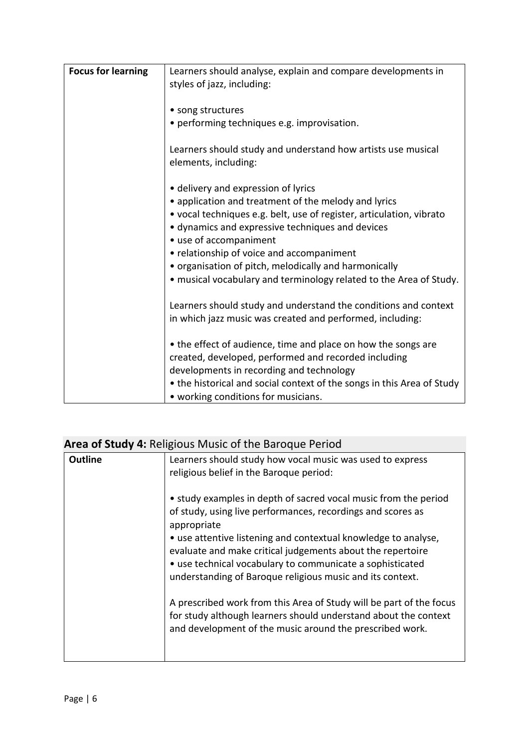| · performing techniques e.g. improvisation.                                                                                  |
|------------------------------------------------------------------------------------------------------------------------------|
| Learners should study and understand how artists use musical                                                                 |
| • delivery and expression of lyrics                                                                                          |
| • application and treatment of the melody and lyrics                                                                         |
| • vocal techniques e.g. belt, use of register, articulation, vibrato<br>· dynamics and expressive techniques and devices     |
| • relationship of voice and accompaniment                                                                                    |
| • organisation of pitch, melodically and harmonically                                                                        |
| • musical vocabulary and terminology related to the Area of Study.                                                           |
| Learners should study and understand the conditions and context<br>in which jazz music was created and performed, including: |
| • the effect of audience, time and place on how the songs are                                                                |
| created, developed, performed and recorded including                                                                         |
| developments in recording and technology                                                                                     |
| • the historical and social context of the songs in this Area of Study<br>• working conditions for musicians.                |
| • use of accompaniment                                                                                                       |

| <b>Outline</b> | Learners should study how vocal music was used to express<br>religious belief in the Baroque period:                                                                                                                                                   |
|----------------|--------------------------------------------------------------------------------------------------------------------------------------------------------------------------------------------------------------------------------------------------------|
|                | • study examples in depth of sacred vocal music from the period<br>of study, using live performances, recordings and scores as<br>appropriate                                                                                                          |
|                | • use attentive listening and contextual knowledge to analyse,<br>evaluate and make critical judgements about the repertoire<br>• use technical vocabulary to communicate a sophisticated<br>understanding of Baroque religious music and its context. |
|                | A prescribed work from this Area of Study will be part of the focus<br>for study although learners should understand about the context<br>and development of the music around the prescribed work.                                                     |
|                |                                                                                                                                                                                                                                                        |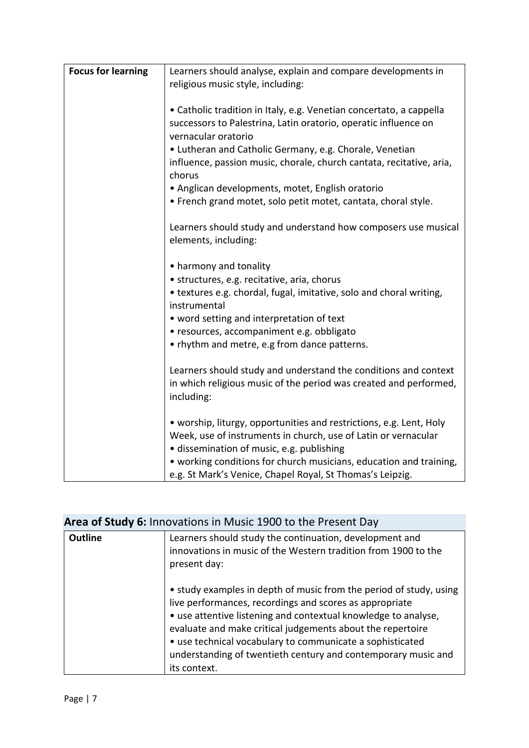| <b>Focus for learning</b> | Learners should analyse, explain and compare developments in<br>religious music style, including:                                                  |
|---------------------------|----------------------------------------------------------------------------------------------------------------------------------------------------|
|                           |                                                                                                                                                    |
|                           | • Catholic tradition in Italy, e.g. Venetian concertato, a cappella                                                                                |
|                           | successors to Palestrina, Latin oratorio, operatic influence on<br>vernacular oratorio                                                             |
|                           | • Lutheran and Catholic Germany, e.g. Chorale, Venetian                                                                                            |
|                           | influence, passion music, chorale, church cantata, recitative, aria,<br>chorus                                                                     |
|                           | • Anglican developments, motet, English oratorio                                                                                                   |
|                           | . French grand motet, solo petit motet, cantata, choral style.                                                                                     |
|                           | Learners should study and understand how composers use musical<br>elements, including:                                                             |
|                           | • harmony and tonality                                                                                                                             |
|                           | • structures, e.g. recitative, aria, chorus                                                                                                        |
|                           | • textures e.g. chordal, fugal, imitative, solo and choral writing,<br>instrumental                                                                |
|                           | • word setting and interpretation of text                                                                                                          |
|                           | · resources, accompaniment e.g. obbligato                                                                                                          |
|                           | • rhythm and metre, e.g from dance patterns.                                                                                                       |
|                           | Learners should study and understand the conditions and context<br>in which religious music of the period was created and performed,<br>including: |
|                           | • worship, liturgy, opportunities and restrictions, e.g. Lent, Holy                                                                                |
|                           | Week, use of instruments in church, use of Latin or vernacular                                                                                     |
|                           | · dissemination of music, e.g. publishing                                                                                                          |
|                           | • working conditions for church musicians, education and training,                                                                                 |
|                           | e.g. St Mark's Venice, Chapel Royal, St Thomas's Leipzig.                                                                                          |

## **Area of Study 6:** Innovations in Music 1900 to the Present Day

| <b>Outline</b> | Learners should study the continuation, development and<br>innovations in music of the Western tradition from 1900 to the<br>present day:                                                                                                                                                                                                                                                                   |
|----------------|-------------------------------------------------------------------------------------------------------------------------------------------------------------------------------------------------------------------------------------------------------------------------------------------------------------------------------------------------------------------------------------------------------------|
|                | • study examples in depth of music from the period of study, using<br>live performances, recordings and scores as appropriate<br>• use attentive listening and contextual knowledge to analyse,<br>evaluate and make critical judgements about the repertoire<br>• use technical vocabulary to communicate a sophisticated<br>understanding of twentieth century and contemporary music and<br>its context. |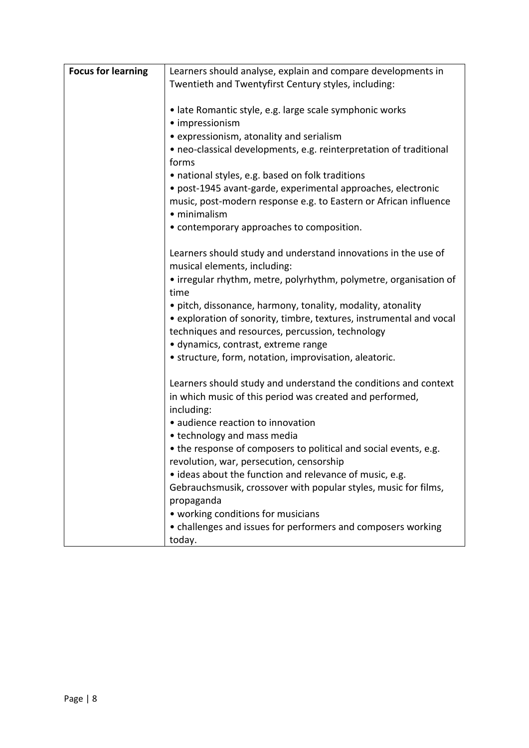| <b>Focus for learning</b> | Learners should analyse, explain and compare developments in                |  |
|---------------------------|-----------------------------------------------------------------------------|--|
|                           | Twentieth and Twentyfirst Century styles, including:                        |  |
|                           |                                                                             |  |
|                           | · late Romantic style, e.g. large scale symphonic works                     |  |
|                           | · impressionism                                                             |  |
|                           | • expressionism, atonality and serialism                                    |  |
|                           | • neo-classical developments, e.g. reinterpretation of traditional<br>forms |  |
|                           | • national styles, e.g. based on folk traditions                            |  |
|                           | · post-1945 avant-garde, experimental approaches, electronic                |  |
|                           | music, post-modern response e.g. to Eastern or African influence            |  |
|                           | · minimalism                                                                |  |
|                           | • contemporary approaches to composition.                                   |  |
|                           |                                                                             |  |
|                           | Learners should study and understand innovations in the use of              |  |
|                           | musical elements, including:                                                |  |
|                           | • irregular rhythm, metre, polyrhythm, polymetre, organisation of           |  |
|                           | time                                                                        |  |
|                           | • pitch, dissonance, harmony, tonality, modality, atonality                 |  |
|                           | • exploration of sonority, timbre, textures, instrumental and vocal         |  |
|                           | techniques and resources, percussion, technology                            |  |
|                           | · dynamics, contrast, extreme range                                         |  |
|                           | • structure, form, notation, improvisation, aleatoric.                      |  |
|                           | Learners should study and understand the conditions and context             |  |
|                           | in which music of this period was created and performed,                    |  |
|                           | including:                                                                  |  |
|                           | • audience reaction to innovation                                           |  |
|                           | • technology and mass media                                                 |  |
|                           | • the response of composers to political and social events, e.g.            |  |
|                           | revolution, war, persecution, censorship                                    |  |
|                           | • ideas about the function and relevance of music, e.g.                     |  |
|                           | Gebrauchsmusik, crossover with popular styles, music for films,             |  |
|                           | propaganda                                                                  |  |
|                           | • working conditions for musicians                                          |  |
|                           | • challenges and issues for performers and composers working                |  |
|                           | today.                                                                      |  |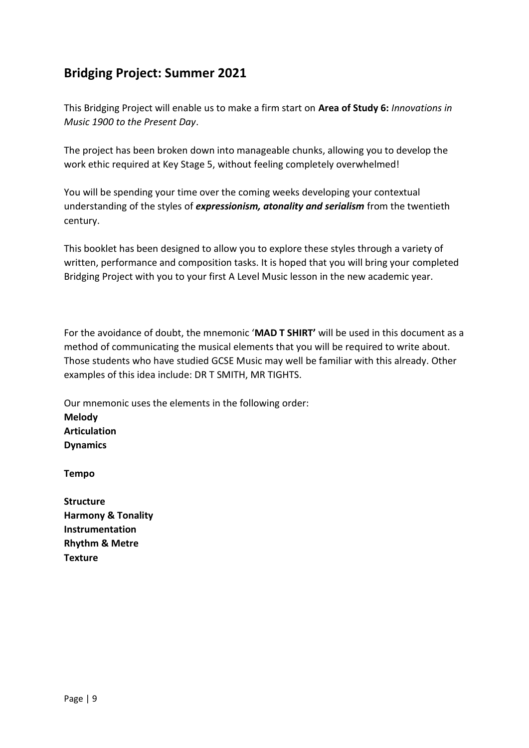## **Bridging Project: Summer 2021**

This Bridging Project will enable us to make a firm start on **Area of Study 6:** *Innovations in Music 1900 to the Present Day*.

The project has been broken down into manageable chunks, allowing you to develop the work ethic required at Key Stage 5, without feeling completely overwhelmed!

You will be spending your time over the coming weeks developing your contextual understanding of the styles of *expressionism, atonality and serialism* from the twentieth century.

This booklet has been designed to allow you to explore these styles through a variety of written, performance and composition tasks. It is hoped that you will bring your completed Bridging Project with you to your first A Level Music lesson in the new academic year.

For the avoidance of doubt, the mnemonic '**MAD T SHIRT'** will be used in this document as a method of communicating the musical elements that you will be required to write about. Those students who have studied GCSE Music may well be familiar with this already. Other examples of this idea include: DR T SMITH, MR TIGHTS.

Our mnemonic uses the elements in the following order: **Melody Articulation Dynamics**

**Tempo**

**Structure Harmony & Tonality Instrumentation Rhythm & Metre Texture**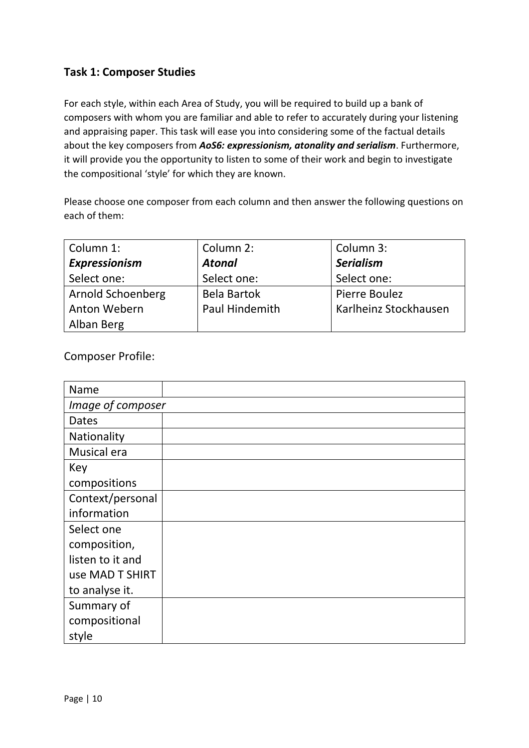#### **Task 1: Composer Studies**

For each style, within each Area of Study, you will be required to build up a bank of composers with whom you are familiar and able to refer to accurately during your listening and appraising paper. This task will ease you into considering some of the factual details about the key composers from *AoS6: expressionism, atonality and serialism*. Furthermore, it will provide you the opportunity to listen to some of their work and begin to investigate the compositional 'style' for which they are known.

Please choose one composer from each column and then answer the following questions on each of them:

| Column 1:                | Column 2:          | Column 3:             |
|--------------------------|--------------------|-----------------------|
| Expressionism            | <b>Atonal</b>      | <b>Serialism</b>      |
| Select one:              | Select one:        | Select one:           |
| <b>Arnold Schoenberg</b> | <b>Bela Bartok</b> | Pierre Boulez         |
| Anton Webern             | Paul Hindemith     | Karlheinz Stockhausen |
| Alban Berg               |                    |                       |

Composer Profile:

| Name              |  |  |  |  |  |
|-------------------|--|--|--|--|--|
| Image of composer |  |  |  |  |  |
| Dates             |  |  |  |  |  |
| Nationality       |  |  |  |  |  |
| Musical era       |  |  |  |  |  |
| Key               |  |  |  |  |  |
| compositions      |  |  |  |  |  |
| Context/personal  |  |  |  |  |  |
| information       |  |  |  |  |  |
| Select one        |  |  |  |  |  |
| composition,      |  |  |  |  |  |
| listen to it and  |  |  |  |  |  |
| use MAD T SHIRT   |  |  |  |  |  |
| to analyse it.    |  |  |  |  |  |
| Summary of        |  |  |  |  |  |
| compositional     |  |  |  |  |  |
| style             |  |  |  |  |  |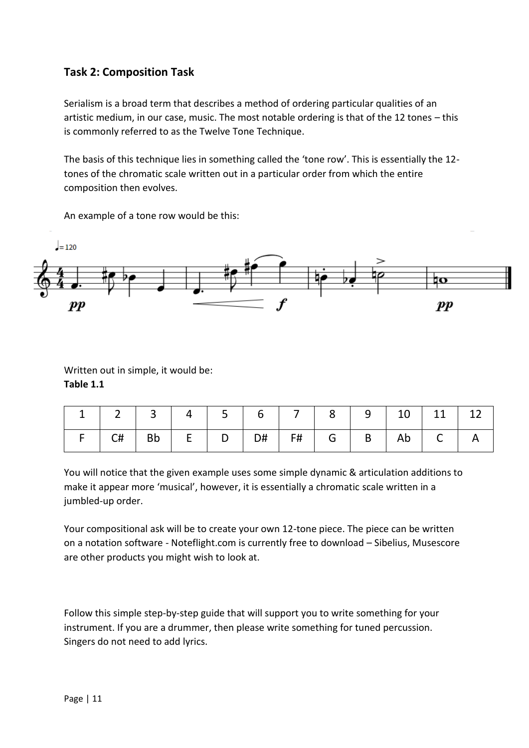#### **Task 2: Composition Task**

Serialism is a broad term that describes a method of ordering particular qualities of an artistic medium, in our case, music. The most notable ordering is that of the 12 tones – this is commonly referred to as the Twelve Tone Technique.

The basis of this technique lies in something called the 'tone row'. This is essentially the 12 tones of the chromatic scale written out in a particular order from which the entire composition then evolves.

An example of a tone row would be this:



Written out in simple, it would be: **Table 1.1**

|  | $1 \ 1 \ 2 \ 3 \ 4 \ 5 \ 6 \ 7 \ 8 \ 9 \ 10 \ 11 \ 12$ |  |  |  |  |  |
|--|--------------------------------------------------------|--|--|--|--|--|
|  | F   C#   Bb   E   D   D#   F#   G   B   Ab   C   A     |  |  |  |  |  |

You will notice that the given example uses some simple dynamic & articulation additions to make it appear more 'musical', however, it is essentially a chromatic scale written in a jumbled-up order.

Your compositional ask will be to create your own 12-tone piece. The piece can be written on a notation software - Noteflight.com is currently free to download – Sibelius, Musescore are other products you might wish to look at.

Follow this simple step-by-step guide that will support you to write something for your instrument. If you are a drummer, then please write something for tuned percussion. Singers do not need to add lyrics.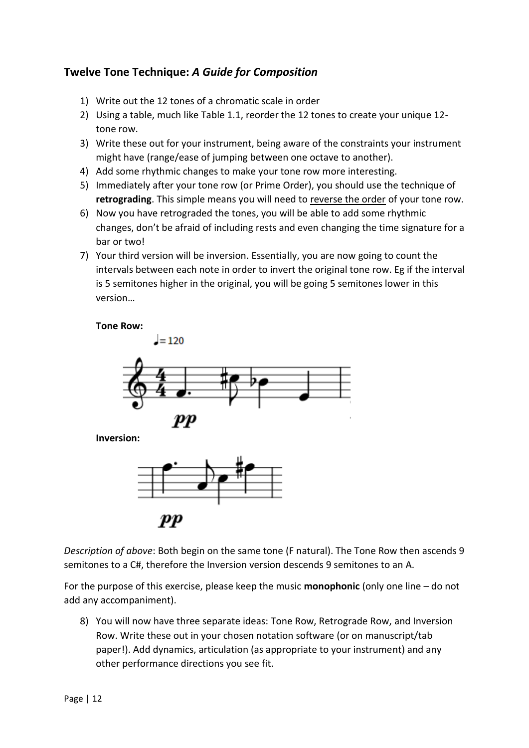#### **Twelve Tone Technique:** *A Guide for Composition*

- 1) Write out the 12 tones of a chromatic scale in order
- 2) Using a table, much like Table 1.1, reorder the 12 tones to create your unique 12 tone row.
- 3) Write these out for your instrument, being aware of the constraints your instrument might have (range/ease of jumping between one octave to another).
- 4) Add some rhythmic changes to make your tone row more interesting.
- 5) Immediately after your tone row (or Prime Order), you should use the technique of **retrograding**. This simple means you will need to reverse the order of your tone row.
- 6) Now you have retrograded the tones, you will be able to add some rhythmic changes, don't be afraid of including rests and even changing the time signature for a bar or two!
- 7) Your third version will be inversion. Essentially, you are now going to count the intervals between each note in order to invert the original tone row. Eg if the interval is 5 semitones higher in the original, you will be going 5 semitones lower in this version…





*Description of above*: Both begin on the same tone (F natural). The Tone Row then ascends 9 semitones to a C#, therefore the Inversion version descends 9 semitones to an A.

For the purpose of this exercise, please keep the music **monophonic** (only one line – do not add any accompaniment).

8) You will now have three separate ideas: Tone Row, Retrograde Row, and Inversion Row. Write these out in your chosen notation software (or on manuscript/tab paper!). Add dynamics, articulation (as appropriate to your instrument) and any other performance directions you see fit.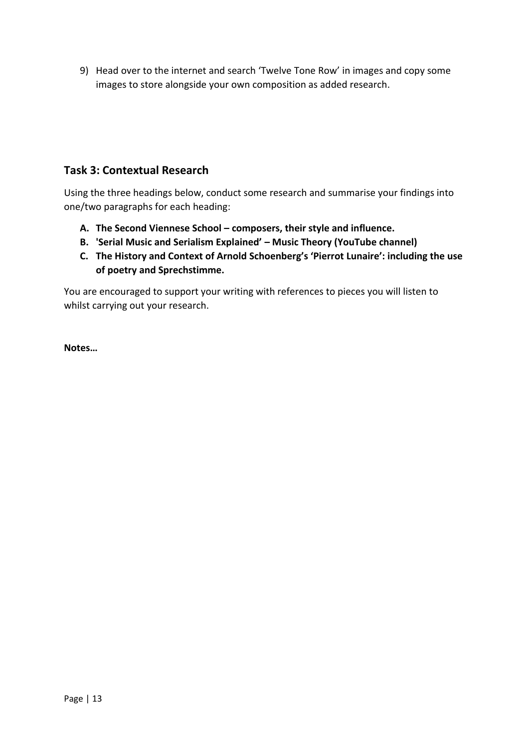9) Head over to the internet and search 'Twelve Tone Row' in images and copy some images to store alongside your own composition as added research.

#### **Task 3: Contextual Research**

Using the three headings below, conduct some research and summarise your findings into one/two paragraphs for each heading:

- **A. The Second Viennese School – composers, their style and influence.**
- **B. 'Serial Music and Serialism Explained' – Music Theory (YouTube channel)**
- **C. The History and Context of Arnold Schoenberg's 'Pierrot Lunaire': including the use of poetry and Sprechstimme.**

You are encouraged to support your writing with references to pieces you will listen to whilst carrying out your research.

**Notes…**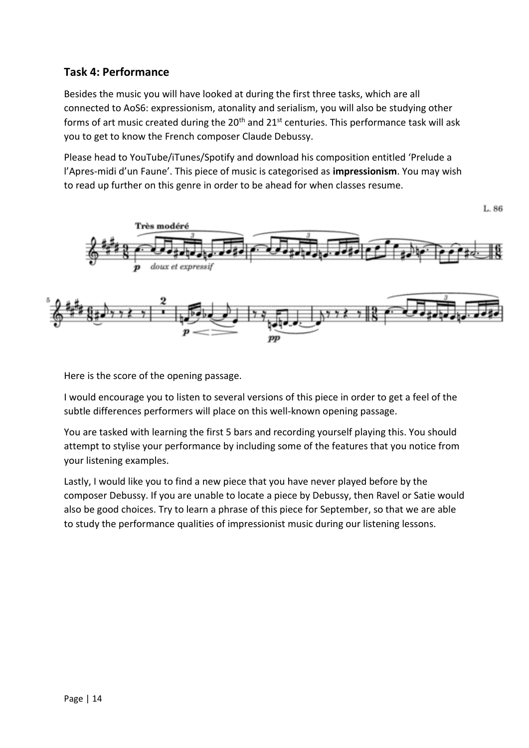#### **Task 4: Performance**

Besides the music you will have looked at during the first three tasks, which are all connected to AoS6: expressionism, atonality and serialism, you will also be studying other forms of art music created during the  $20<sup>th</sup>$  and  $21<sup>st</sup>$  centuries. This performance task will ask you to get to know the French composer Claude Debussy.

Please head to YouTube/iTunes/Spotify and download his composition entitled 'Prelude a l'Apres-midi d'un Faune'. This piece of music is categorised as **impressionism**. You may wish to read up further on this genre in order to be ahead for when classes resume.



Here is the score of the opening passage.

I would encourage you to listen to several versions of this piece in order to get a feel of the subtle differences performers will place on this well-known opening passage.

You are tasked with learning the first 5 bars and recording yourself playing this. You should attempt to stylise your performance by including some of the features that you notice from your listening examples.

Lastly, I would like you to find a new piece that you have never played before by the composer Debussy. If you are unable to locate a piece by Debussy, then Ravel or Satie would also be good choices. Try to learn a phrase of this piece for September, so that we are able to study the performance qualities of impressionist music during our listening lessons.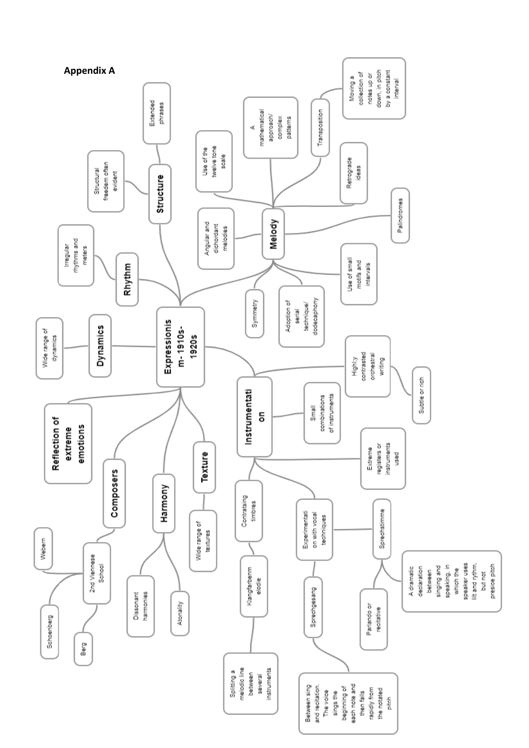